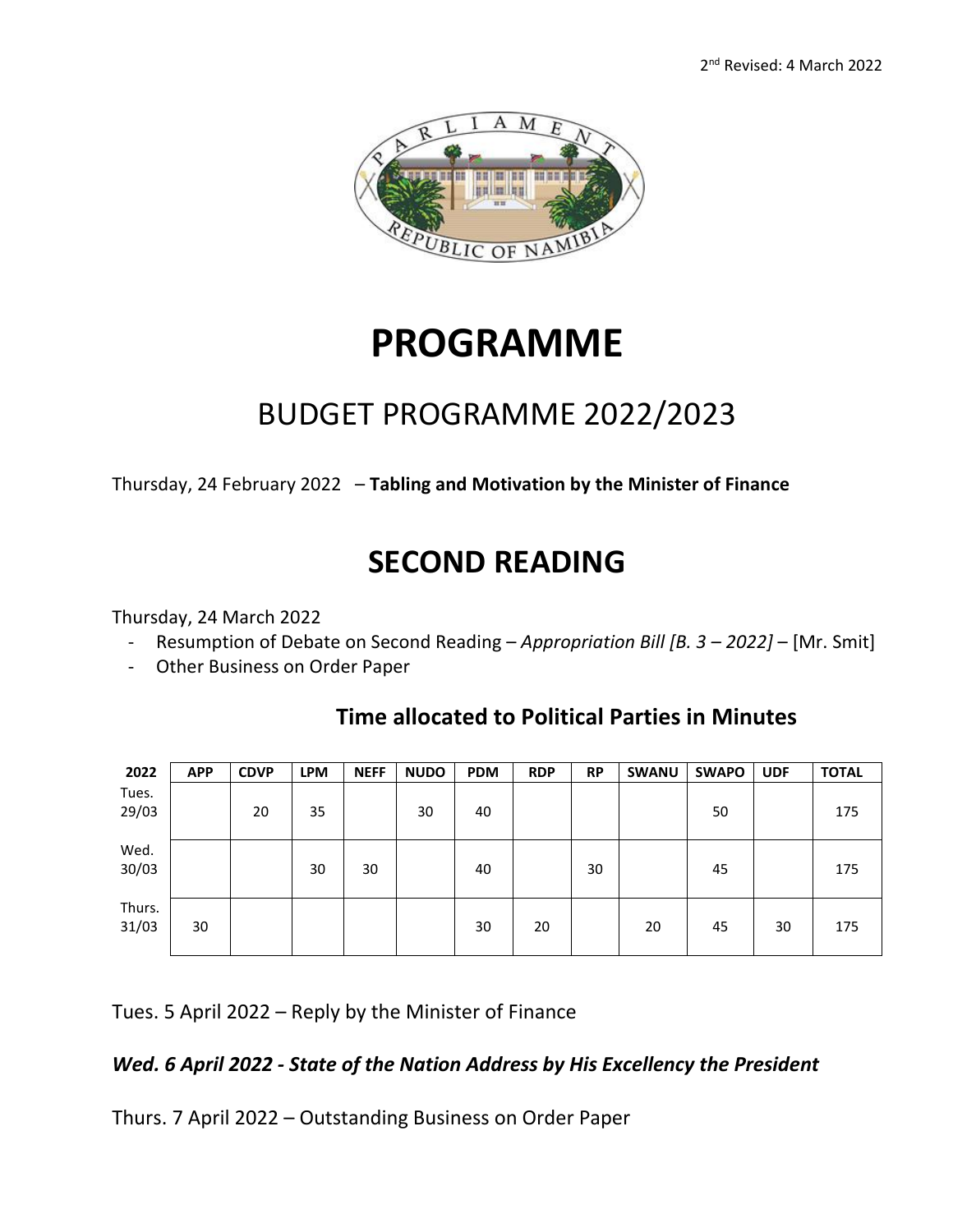

# **PROGRAMME**

### BUDGET PROGRAMME 2022/2023

Thursday, 24 February 2022 – **Tabling and Motivation by the Minister of Finance**

## **SECOND READING**

Thursday, 24 March 2022

- Resumption of Debate on Second Reading *Appropriation Bill [B. 3 – 2022]*  [Mr. Smit]
- Other Business on Order Paper

| 2022            | <b>APP</b> | <b>CDVP</b> | <b>LPM</b> | <b>NEFF</b> | <b>NUDO</b> | <b>PDM</b> | <b>RDP</b> | <b>RP</b> | <b>SWANU</b> | <b>SWAPO</b> | <b>UDF</b> | <b>TOTAL</b> |
|-----------------|------------|-------------|------------|-------------|-------------|------------|------------|-----------|--------------|--------------|------------|--------------|
| Tues.<br>29/03  |            | 20          | 35         |             | 30          | 40         |            |           |              | 50           |            | 175          |
| Wed.<br>30/03   |            |             | 30         | 30          |             | 40         |            | 30        |              | 45           |            | 175          |
| Thurs.<br>31/03 | 30         |             |            |             |             | 30         | 20         |           | 20           | 45           | 30         | 175          |

### **Time allocated to Political Parties in Minutes**

Tues. 5 April 2022 – Reply by the Minister of Finance

#### *Wed. 6 April 2022 - State of the Nation Address by His Excellency the President*

Thurs. 7 April 2022 – Outstanding Business on Order Paper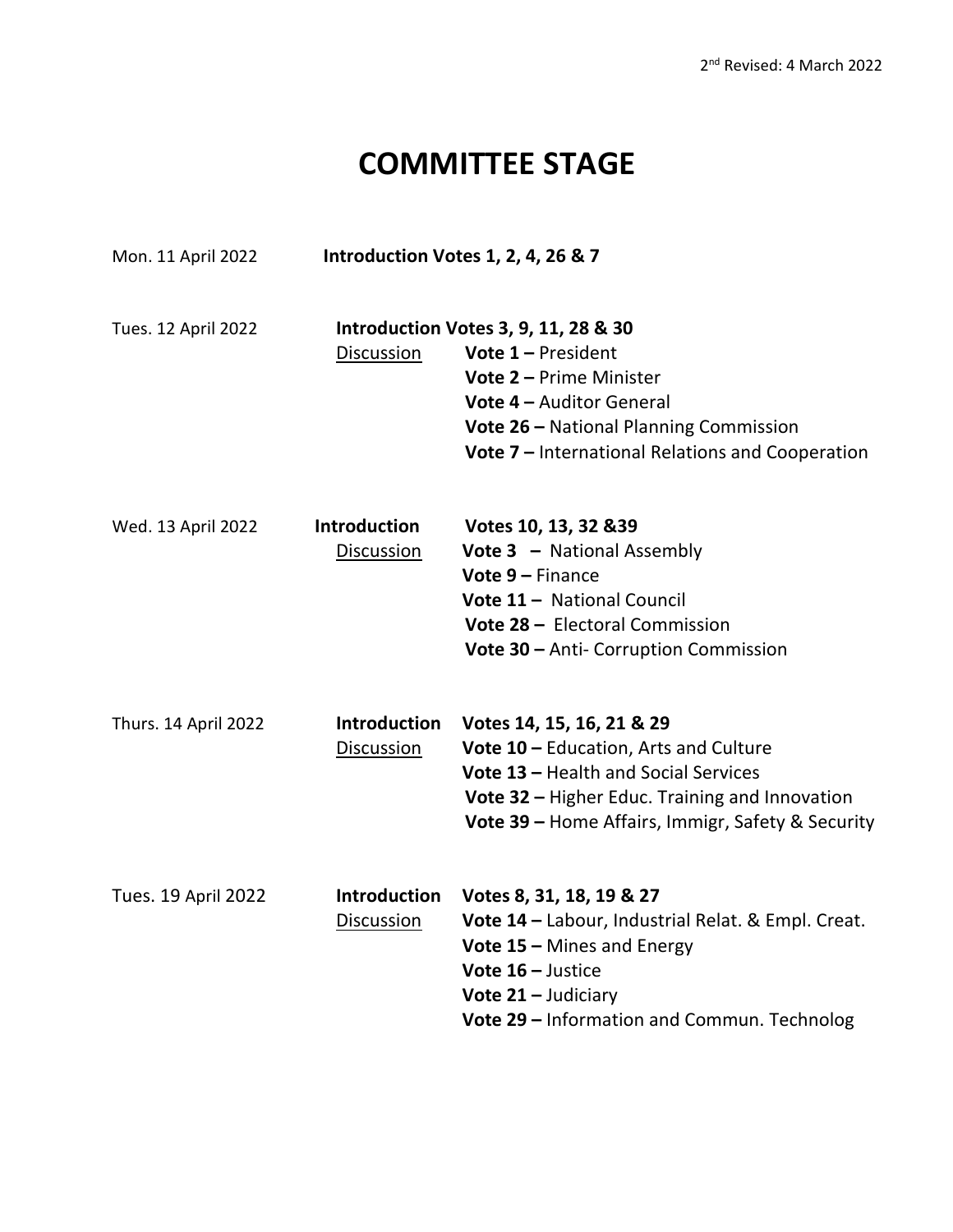## **COMMITTEE STAGE**

| Mon. 11 April 2022         | Introduction Votes 1, 2, 4, 26 & 7 |                                                                                                                                                                                                                                          |  |  |  |  |
|----------------------------|------------------------------------|------------------------------------------------------------------------------------------------------------------------------------------------------------------------------------------------------------------------------------------|--|--|--|--|
| Tues. 12 April 2022        | Discussion                         | <b>Introduction Votes 3, 9, 11, 28 &amp; 30</b><br><b>Vote 1 – President</b><br>Vote 2 - Prime Minister<br><b>Vote 4 - Auditor General</b><br>Vote 26 - National Planning Commission<br>Vote 7 - International Relations and Cooperation |  |  |  |  |
| Wed. 13 April 2022         | <b>Introduction</b><br>Discussion  | Votes 10, 13, 32 & 39<br><b>Vote 3 - National Assembly</b><br>Vote 9 - Finance<br>Vote 11 - National Council<br>Vote 28 - Electoral Commission<br>Vote 30 - Anti- Corruption Commission                                                  |  |  |  |  |
| Thurs. 14 April 2022       | <b>Introduction</b><br>Discussion  | Votes 14, 15, 16, 21 & 29<br>Vote 10 - Education, Arts and Culture<br>Vote 13 - Health and Social Services<br>Vote 32 - Higher Educ. Training and Innovation<br>Vote 39 - Home Affairs, Immigr, Safety & Security                        |  |  |  |  |
| <b>Tues. 19 April 2022</b> | <b>Introduction</b><br>Discussion  | Votes 8, 31, 18, 19 & 27<br>Vote 14 - Labour, Industrial Relat. & Empl. Creat.<br>Vote $15 -$ Mines and Energy<br>Vote $16$ – Justice<br>Vote $21 -$ Judiciary<br>Vote 29 - Information and Commun. Technolog                            |  |  |  |  |